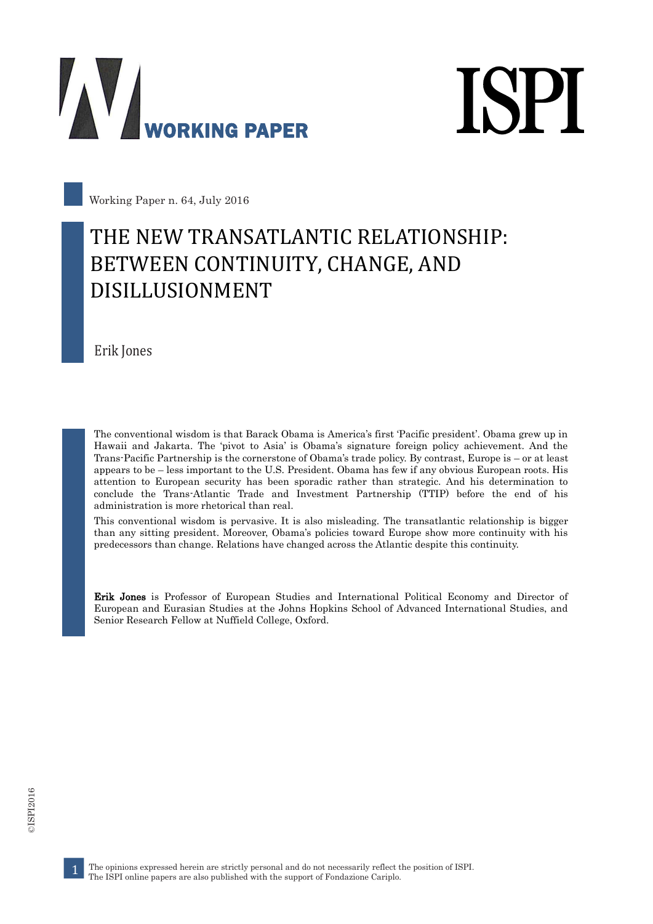



Working Paper n. 64, July 2016

#### THE NEW TRANSATLANTIC RELATIONSHIP: BETWEEN CONTINUITY, CHANGE, AND DISILLUSIONMENT

Erik Jones

The conventional wisdom is that Barack Obama is America's first 'Pacific president'. Obama grew up in Hawaii and Jakarta. The 'pivot to Asia' is Obama's signature foreign policy achievement. And the Trans-Pacific Partnership is the cornerstone of Obama's trade policy. By contrast, Europe is – or at least appears to be – less important to the U.S. President. Obama has few if any obvious European roots. His attention to European security has been sporadic rather than strategic. And his determination to conclude the Trans-Atlantic Trade and Investment Partnership (TTIP) before the end of his administration is more rhetorical than real.

This conventional wisdom is pervasive. It is also misleading. The transatlantic relationship is bigger than any sitting president. Moreover, Obama's policies toward Europe show more continuity with his predecessors than change. Relations have changed across the Atlantic despite this continuity.

Erik Jones is Professor of European Studies and International Political Economy and Director of European and Eurasian Studies at the Johns Hopkins School of Advanced International Studies, and Senior Research Fellow at Nuffield College, Oxford.

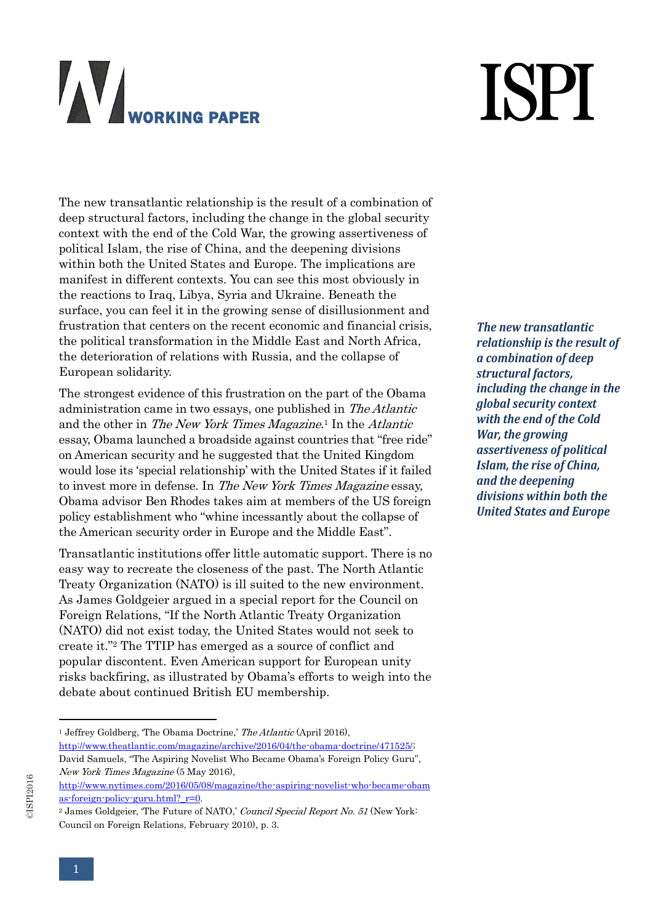# **ISPI**

The new transatlantic relationship is the result of a combination of deep structural factors, including the change in the global security context with the end of the Cold War, the growing assertiveness of political Islam, the rise of China, and the deepening divisions within both the United States and Europe. The implications are manifest in different contexts. You can see this most obviously in the reactions to Iraq, Libya, Syria and Ukraine. Beneath the surface, you can feel it in the growing sense of disillusionment and frustration that centers on the recent economic and financial crisis, the political transformation in the Middle East and North Africa, the deterioration of relations with Russia, and the collapse of European solidarity.

The strongest evidence of this frustration on the part of the Obama administration came in two essays, one published in The Atlantic and the other in The New York Times Magazine.<sup>1</sup> In the Atlantic essay, Obama launched a broadside against countries that "free ride" on American security and he suggested that the United Kingdom would lose its 'special relationship' with the United States if it failed to invest more in defense. In The New York Times Magazine essay, Obama advisor Ben Rhodes takes aim at members of the US foreign policy establishment who "whine incessantly about the collapse of the American security order in Europe and the Middle East".

Transatlantic institutions offer little automatic support. There is no easy way to recreate the closeness of the past. The North Atlantic Treaty Organization (NATO) is ill suited to the new environment. As James Goldgeier argued in a special report for the Council on Foreign Relations, "If the North Atlantic Treaty Organization (NATO) did not exist today, the United States would not seek to create it." <sup>2</sup> The TTIP has emerged as a source of conflict and popular discontent. Even American support for European unity risks backfiring, as illustrated by Obama's efforts to weigh into the debate about continued British EU membership.

*The new transatlantic relationship is the result of a combination of deep structural factors, including the change in the global security context with the end of the Cold War, the growing assertiveness of political Islam, the rise of China, and the deepening divisions within both the United States and Europe*

<sup>&</sup>lt;sup>1</sup> Jeffrey Goldberg, 'The Obama Doctrine,' The Atlantic (April 2016), [http://www.theatlantic.com/magazine/archive/2016/04/the-obama-doctrine/471525/;](http://www.theatlantic.com/magazine/archive/2016/04/the-obama-doctrine/471525/) David Samuels, "The Aspiring Novelist Who Became Obama's Foreign Policy Guru", New York Times Magazine (5 May 2016),

[http://www.nytimes.com/2016/05/08/magazine/the-aspiring-novelist-who-became-obam](http://www.nytimes.com/2016/05/08/magazine/the-aspiring-novelist-who-became-obamas-foreign-policy-guru.html?_r=0) as-foreign-policy-guru.html? r=0.

<sup>&</sup>lt;sup>2</sup> James Goldgeier, 'The Future of NATO,' Council Special Report No. 51 (New York: Council on Foreign Relations, February 2010), p. 3.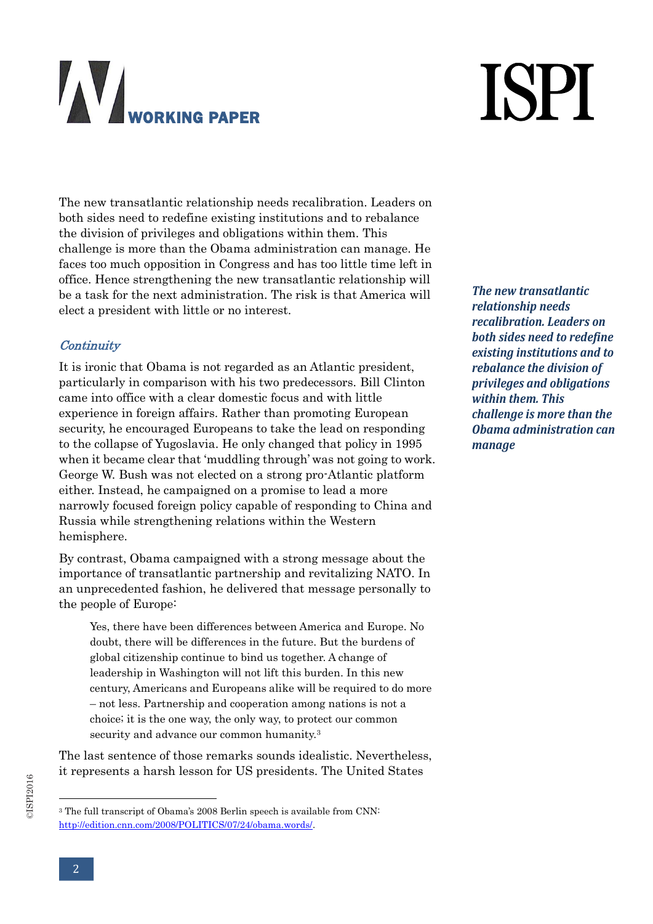# **ISPI**

The new transatlantic relationship needs recalibration. Leaders on both sides need to redefine existing institutions and to rebalance the division of privileges and obligations within them. This challenge is more than the Obama administration can manage. He faces too much opposition in Congress and has too little time left in office. Hence strengthening the new transatlantic relationship will be a task for the next administration. The risk is that America will elect a president with little or no interest.

#### **Continuity**

It is ironic that Obama is not regarded as an Atlantic president, particularly in comparison with his two predecessors. Bill Clinton came into office with a clear domestic focus and with little experience in foreign affairs. Rather than promoting European security, he encouraged Europeans to take the lead on responding to the collapse of Yugoslavia. He only changed that policy in 1995 when it became clear that 'muddling through' was not going to work. George W. Bush was not elected on a strong pro-Atlantic platform either. Instead, he campaigned on a promise to lead a more narrowly focused foreign policy capable of responding to China and Russia while strengthening relations within the Western hemisphere.

By contrast, Obama campaigned with a strong message about the importance of transatlantic partnership and revitalizing NATO. In an unprecedented fashion, he delivered that message personally to the people of Europe:

Yes, there have been differences between America and Europe. No doubt, there will be differences in the future. But the burdens of global citizenship continue to bind us together. A change of leadership in Washington will not lift this burden. In this new century, Americans and Europeans alike will be required to do more – not less. Partnership and cooperation among nations is not a choice; it is the one way, the only way, to protect our common security and advance our common humanity.<sup>3</sup>

The last sentence of those remarks sounds idealistic. Nevertheless, it represents a harsh lesson for US presidents. The United States

*The new transatlantic relationship needs recalibration. Leaders on both sides need to redefine existing institutions and to rebalance the division of privileges and obligations within them. This challenge is more than the Obama administration can manage*

<sup>&</sup>lt;sup>3</sup> The full transcript of Obama's 2008 Berlin speech is available from CNN: [http://edition.cnn.com/2008/POLITICS/07/24/obama.words/.](http://edition.cnn.com/2008/POLITICS/07/24/obama.words/)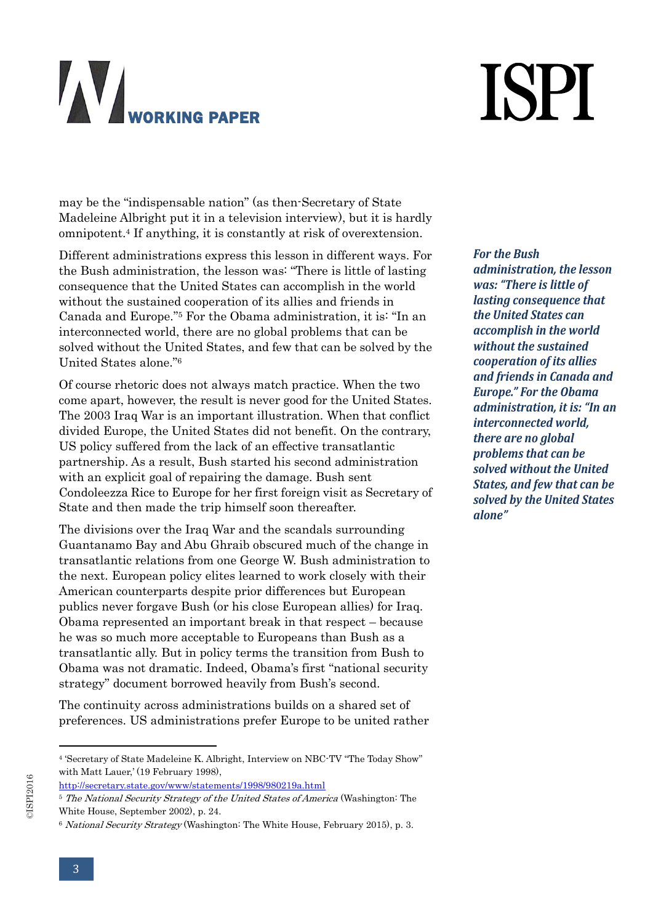# **ISPI**

may be the "indispensable nation" (as then-Secretary of State Madeleine Albright put it in a television interview), but it is hardly omnipotent. <sup>4</sup> If anything, it is constantly at risk of overextension.

Different administrations express this lesson in different ways. For the Bush administration, the lesson was: "There is little of lasting consequence that the United States can accomplish in the world without the sustained cooperation of its allies and friends in Canada and Europe." <sup>5</sup> For the Obama administration, it is: "In an interconnected world, there are no global problems that can be solved without the United States, and few that can be solved by the United States alone." 6

Of course rhetoric does not always match practice. When the two come apart, however, the result is never good for the United States. The 2003 Iraq War is an important illustration. When that conflict divided Europe, the United States did not benefit. On the contrary, US policy suffered from the lack of an effective transatlantic partnership. As a result, Bush started his second administration with an explicit goal of repairing the damage. Bush sent Condoleezza Rice to Europe for her first foreign visit as Secretary of State and then made the trip himself soon thereafter.

The divisions over the Iraq War and the scandals surrounding Guantanamo Bay and Abu Ghraib obscured much of the change in transatlantic relations from one George W. Bush administration to the next. European policy elites learned to work closely with their American counterparts despite prior differences but European publics never forgave Bush (or his close European allies) for Iraq. Obama represented an important break in that respect – because he was so much more acceptable to Europeans than Bush as a transatlantic ally. But in policy terms the transition from Bush to Obama was not dramatic. Indeed, Obama's first "national security strategy" document borrowed heavily from Bush's second.

The continuity across administrations builds on a shared set of preferences. US administrations prefer Europe to be united rather *For the Bush administration, the lesson was: "There is little of lasting consequence that the United States can accomplish in the world without the sustained cooperation of its allies and friends in Canada and Europe." For the Obama administration, it is: "In an interconnected world, there are no global problems that can be solved without the United States, and few that can be solved by the United States alone"*

<sup>4</sup> 'Secretary of State Madeleine K. Albright, Interview on NBC-TV "The Today Show" with Matt Lauer,' (19 February 1998),

<http://secretary.state.gov/www/statements/1998/980219a.html>

<sup>&</sup>lt;sup>5</sup> The National Security Strategy of the United States of America (Washington: The White House, September 2002), p. 24.

<sup>6</sup> National Security Strategy (Washington: The White House, February 2015), p. 3.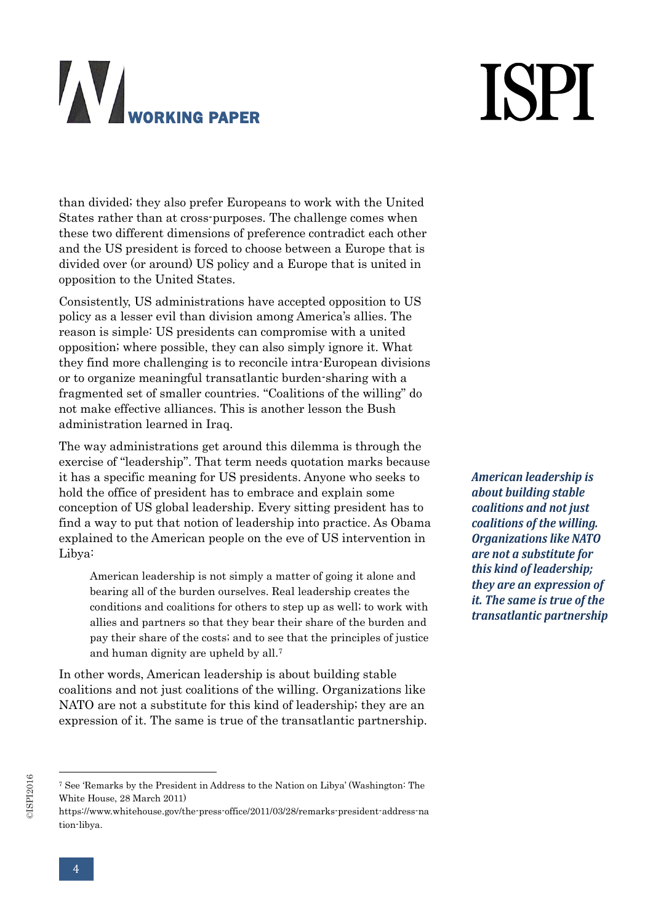# **ISPI**

than divided; they also prefer Europeans to work with the United States rather than at cross-purposes. The challenge comes when these two different dimensions of preference contradict each other and the US president is forced to choose between a Europe that is divided over (or around) US policy and a Europe that is united in opposition to the United States.

Consistently, US administrations have accepted opposition to US policy as a lesser evil than division among America's allies. The reason is simple: US presidents can compromise with a united opposition; where possible, they can also simply ignore it. What they find more challenging is to reconcile intra-European divisions or to organize meaningful transatlantic burden-sharing with a fragmented set of smaller countries. "Coalitions of the willing" do not make effective alliances. This is another lesson the Bush administration learned in Iraq.

The way administrations get around this dilemma is through the exercise of "leadership". That term needs quotation marks because it has a specific meaning for US presidents. Anyone who seeks to hold the office of president has to embrace and explain some conception of US global leadership. Every sitting president has to find a way to put that notion of leadership into practice. As Obama explained to the American people on the eve of US intervention in Libya:

American leadership is not simply a matter of going it alone and bearing all of the burden ourselves. Real leadership creates the conditions and coalitions for others to step up as well; to work with allies and partners so that they bear their share of the burden and pay their share of the costs; and to see that the principles of justice and human dignity are upheld by all.<sup>7</sup>

In other words, American leadership is about building stable coalitions and not just coalitions of the willing. Organizations like NATO are not a substitute for this kind of leadership; they are an expression of it. The same is true of the transatlantic partnership.

©ISPI2016

-

*American leadership is about building stable coalitions and not just coalitions of the willing. Organizations like NATO are not a substitute for this kind of leadership; they are an expression of it. The same is true of the transatlantic partnership*

<sup>7</sup> See 'Remarks by the President in Address to the Nation on Libya' (Washington: The White House, 28 March 2011)

https://www.whitehouse.gov/the-press-office/2011/03/28/remarks-president-address-na tion-libya.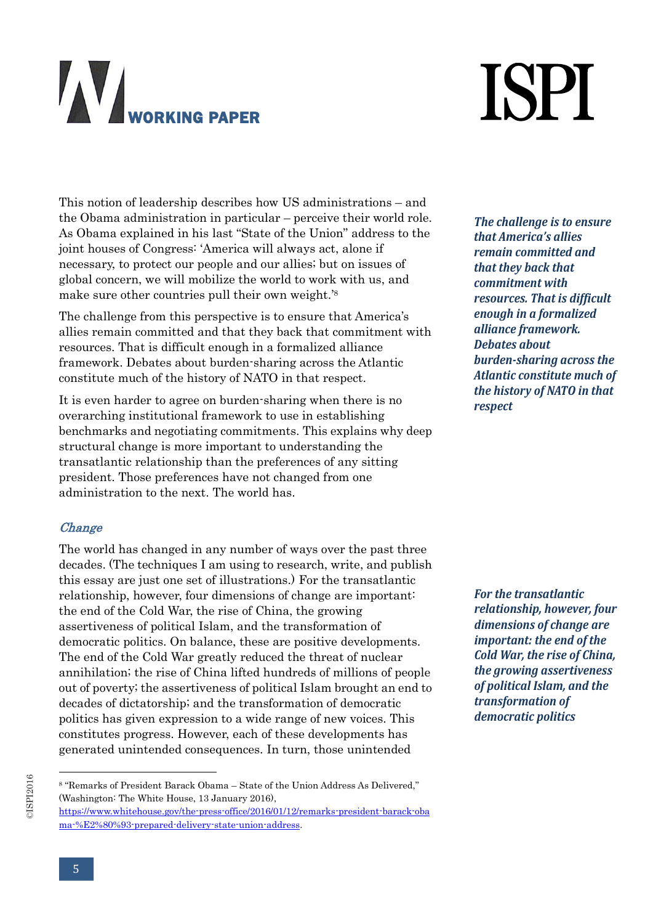# **ISPI**

This notion of leadership describes how US administrations – and the Obama administration in particular – perceive their world role. As Obama explained in his last "State of the Union" address to the joint houses of Congress: 'America will always act, alone if necessary, to protect our people and our allies; but on issues of global concern, we will mobilize the world to work with us, and make sure other countries pull their own weight.'<sup>8</sup>

The challenge from this perspective is to ensure that America's allies remain committed and that they back that commitment with resources. That is difficult enough in a formalized alliance framework. Debates about burden-sharing across the Atlantic constitute much of the history of NATO in that respect.

It is even harder to agree on burden-sharing when there is no overarching institutional framework to use in establishing benchmarks and negotiating commitments. This explains why deep structural change is more important to understanding the transatlantic relationship than the preferences of any sitting president. Those preferences have not changed from one administration to the next. The world has.

#### **Change**

The world has changed in any number of ways over the past three decades. (The techniques I am using to research, write, and publish this essay are just one set of illustrations.) For the transatlantic relationship, however, four dimensions of change are important: the end of the Cold War, the rise of China, the growing assertiveness of political Islam, and the transformation of democratic politics. On balance, these are positive developments. The end of the Cold War greatly reduced the threat of nuclear annihilation; the rise of China lifted hundreds of millions of people out of poverty; the assertiveness of political Islam brought an end to decades of dictatorship; and the transformation of democratic politics has given expression to a wide range of new voices. This constitutes progress. However, each of these developments has generated unintended consequences. In turn, those unintended

*The challenge is to ensure that America's allies remain committed and that they back that commitment with resources. That is difficult enough in a formalized alliance framework. Debates about burden-sharing across the Atlantic constitute much of the history of NATO in that respect*

*For the transatlantic relationship, however, four dimensions of change are important: the end of the Cold War, the rise of China, the growing assertiveness of political Islam, and the transformation of democratic politics*

<sup>©</sup>ISPI2016

<sup>8</sup> "Remarks of President Barack Obama – State of the Union Address As Delivered," (Washington: The White House, 13 January 2016),

[https://www.whitehouse.gov/the-press-office/2016/01/12/remarks-president-barack-oba](https://www.whitehouse.gov/the-press-office/2016/01/12/remarks-president-barack-obama-%E2%80%93-prepared-delivery-state-union-address) [ma-%E2%80%93-prepared-delivery-state-union-address.](https://www.whitehouse.gov/the-press-office/2016/01/12/remarks-president-barack-obama-%E2%80%93-prepared-delivery-state-union-address)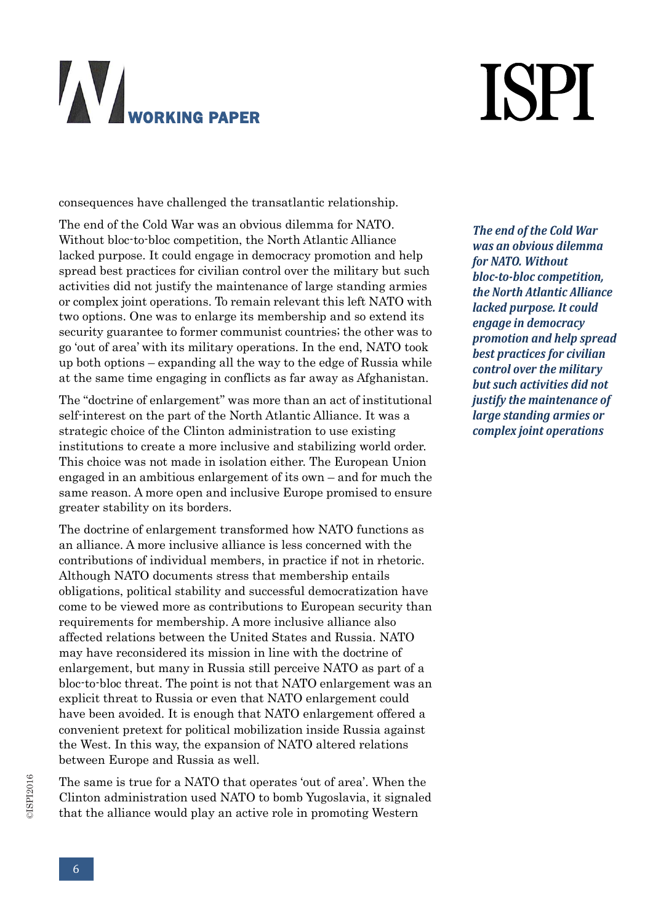# **ISPI**

consequences have challenged the transatlantic relationship.

The end of the Cold War was an obvious dilemma for NATO. Without bloc-to-bloc competition, the North Atlantic Alliance lacked purpose. It could engage in democracy promotion and help spread best practices for civilian control over the military but such activities did not justify the maintenance of large standing armies or complex joint operations. To remain relevant this left NATO with two options. One was to enlarge its membership and so extend its security guarantee to former communist countries; the other was to go 'out of area' with its military operations. In the end, NATO took up both options – expanding all the way to the edge of Russia while at the same time engaging in conflicts as far away as Afghanistan.

The "doctrine of enlargement" was more than an act of institutional self-interest on the part of the North Atlantic Alliance. It was a strategic choice of the Clinton administration to use existing institutions to create a more inclusive and stabilizing world order. This choice was not made in isolation either. The European Union engaged in an ambitious enlargement of its own – and for much the same reason. A more open and inclusive Europe promised to ensure greater stability on its borders.

The doctrine of enlargement transformed how NATO functions as an alliance. A more inclusive alliance is less concerned with the contributions of individual members, in practice if not in rhetoric. Although NATO documents stress that membership entails obligations, political stability and successful democratization have come to be viewed more as contributions to European security than requirements for membership. A more inclusive alliance also affected relations between the United States and Russia. NATO may have reconsidered its mission in line with the doctrine of enlargement, but many in Russia still perceive NATO as part of a bloc-to-bloc threat. The point is not that NATO enlargement was an explicit threat to Russia or even that NATO enlargement could have been avoided. It is enough that NATO enlargement offered a convenient pretext for political mobilization inside Russia against the West. In this way, the expansion of NATO altered relations between Europe and Russia as well.

The same is true for a NATO that operates 'out of area'. When the Clinton administration used NATO to bomb Yugoslavia, it signaled that the alliance would play an active role in promoting Western

*The end of the Cold War was an obvious dilemma for NATO. Without bloc-to-bloc competition, the North Atlantic Alliance lacked purpose. It could engage in democracy promotion and help spread best practices for civilian control over the military but such activities did not justify the maintenance of large standing armies or complex joint operations*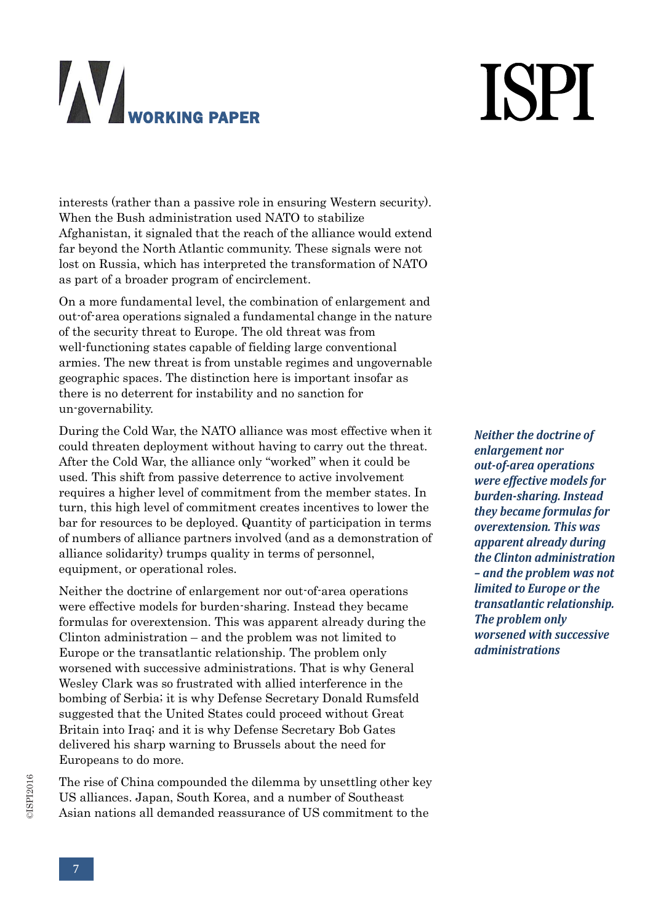# **ISPI**

interests (rather than a passive role in ensuring Western security). When the Bush administration used NATO to stabilize Afghanistan, it signaled that the reach of the alliance would extend far beyond the North Atlantic community. These signals were not lost on Russia, which has interpreted the transformation of NATO as part of a broader program of encirclement.

On a more fundamental level, the combination of enlargement and out-of-area operations signaled a fundamental change in the nature of the security threat to Europe. The old threat was from well-functioning states capable of fielding large conventional armies. The new threat is from unstable regimes and ungovernable geographic spaces. The distinction here is important insofar as there is no deterrent for instability and no sanction for un-governability.

During the Cold War, the NATO alliance was most effective when it could threaten deployment without having to carry out the threat. After the Cold War, the alliance only "worked" when it could be used. This shift from passive deterrence to active involvement requires a higher level of commitment from the member states. In turn, this high level of commitment creates incentives to lower the bar for resources to be deployed. Quantity of participation in terms of numbers of alliance partners involved (and as a demonstration of alliance solidarity) trumps quality in terms of personnel, equipment, or operational roles.

Neither the doctrine of enlargement nor out-of-area operations were effective models for burden-sharing. Instead they became formulas for overextension. This was apparent already during the Clinton administration – and the problem was not limited to Europe or the transatlantic relationship. The problem only worsened with successive administrations. That is why General Wesley Clark was so frustrated with allied interference in the bombing of Serbia; it is why Defense Secretary Donald Rumsfeld suggested that the United States could proceed without Great Britain into Iraq; and it is why Defense Secretary Bob Gates delivered his sharp warning to Brussels about the need for Europeans to do more.

The rise of China compounded the dilemma by unsettling other key US alliances. Japan, South Korea, and a number of Southeast Asian nations all demanded reassurance of US commitment to the

*Neither the doctrine of enlargement nor out-of-area operations were effective models for burden-sharing. Instead they became formulas for overextension. This was apparent already during the Clinton administration – and the problem was not limited to Europe or the transatlantic relationship. The problem only worsened with successive administrations*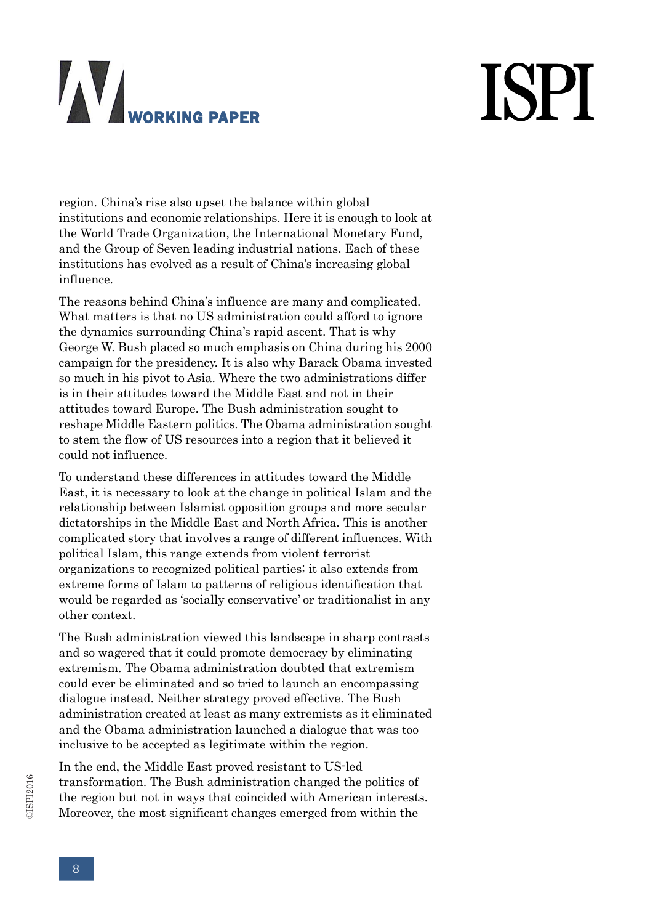# **ISPI**

region. China's rise also upset the balance within global institutions and economic relationships. Here it is enough to look at the World Trade Organization, the International Monetary Fund, and the Group of Seven leading industrial nations. Each of these institutions has evolved as a result of China's increasing global influence.

The reasons behind China's influence are many and complicated. What matters is that no US administration could afford to ignore the dynamics surrounding China's rapid ascent. That is why George W. Bush placed so much emphasis on China during his 2000 campaign for the presidency. It is also why Barack Obama invested so much in his pivot to Asia. Where the two administrations differ is in their attitudes toward the Middle East and not in their attitudes toward Europe. The Bush administration sought to reshape Middle Eastern politics. The Obama administration sought to stem the flow of US resources into a region that it believed it could not influence.

To understand these differences in attitudes toward the Middle East, it is necessary to look at the change in political Islam and the relationship between Islamist opposition groups and more secular dictatorships in the Middle East and North Africa. This is another complicated story that involves a range of different influences. With political Islam, this range extends from violent terrorist organizations to recognized political parties; it also extends from extreme forms of Islam to patterns of religious identification that would be regarded as 'socially conservative' or traditionalist in any other context.

The Bush administration viewed this landscape in sharp contrasts and so wagered that it could promote democracy by eliminating extremism. The Obama administration doubted that extremism could ever be eliminated and so tried to launch an encompassing dialogue instead. Neither strategy proved effective. The Bush administration created at least as many extremists as it eliminated and the Obama administration launched a dialogue that was too inclusive to be accepted as legitimate within the region.

In the end, the Middle East proved resistant to US-led transformation. The Bush administration changed the politics of the region but not in ways that coincided with American interests. Moreover, the most significant changes emerged from within the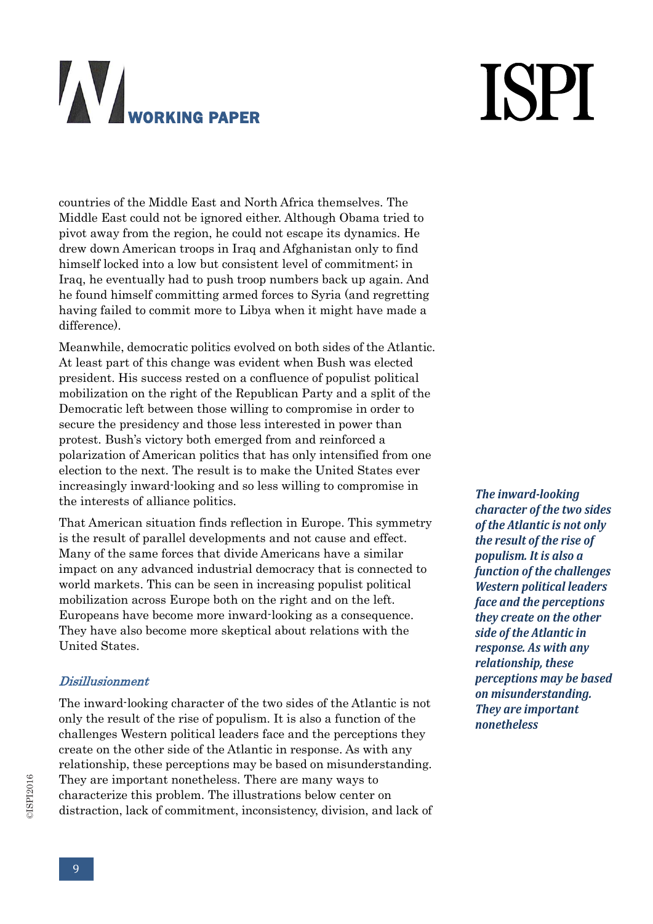# **ISPI**

countries of the Middle East and North Africa themselves. The Middle East could not be ignored either. Although Obama tried to pivot away from the region, he could not escape its dynamics. He drew down American troops in Iraq and Afghanistan only to find himself locked into a low but consistent level of commitment; in Iraq, he eventually had to push troop numbers back up again. And he found himself committing armed forces to Syria (and regretting having failed to commit more to Libya when it might have made a difference).

Meanwhile, democratic politics evolved on both sides of the Atlantic. At least part of this change was evident when Bush was elected president. His success rested on a confluence of populist political mobilization on the right of the Republican Party and a split of the Democratic left between those willing to compromise in order to secure the presidency and those less interested in power than protest. Bush's victory both emerged from and reinforced a polarization of American politics that has only intensified from one election to the next. The result is to make the United States ever increasingly inward-looking and so less willing to compromise in the interests of alliance politics.

That American situation finds reflection in Europe. This symmetry is the result of parallel developments and not cause and effect. Many of the same forces that divide Americans have a similar impact on any advanced industrial democracy that is connected to world markets. This can be seen in increasing populist political mobilization across Europe both on the right and on the left. Europeans have become more inward-looking as a consequence. They have also become more skeptical about relations with the United States.

#### Disillusionment

The inward-looking character of the two sides of the Atlantic is not only the result of the rise of populism. It is also a function of the challenges Western political leaders face and the perceptions they create on the other side of the Atlantic in response. As with any relationship, these perceptions may be based on misunderstanding. They are important nonetheless. There are many ways to characterize this problem. The illustrations below center on distraction, lack of commitment, inconsistency, division, and lack of

*The inward-looking character of the two sides of the Atlantic is not only the result of the rise of populism. It is also a function of the challenges Western political leaders face and the perceptions they create on the other side of the Atlantic in response. As with any relationship, these perceptions may be based on misunderstanding. They are important nonetheless*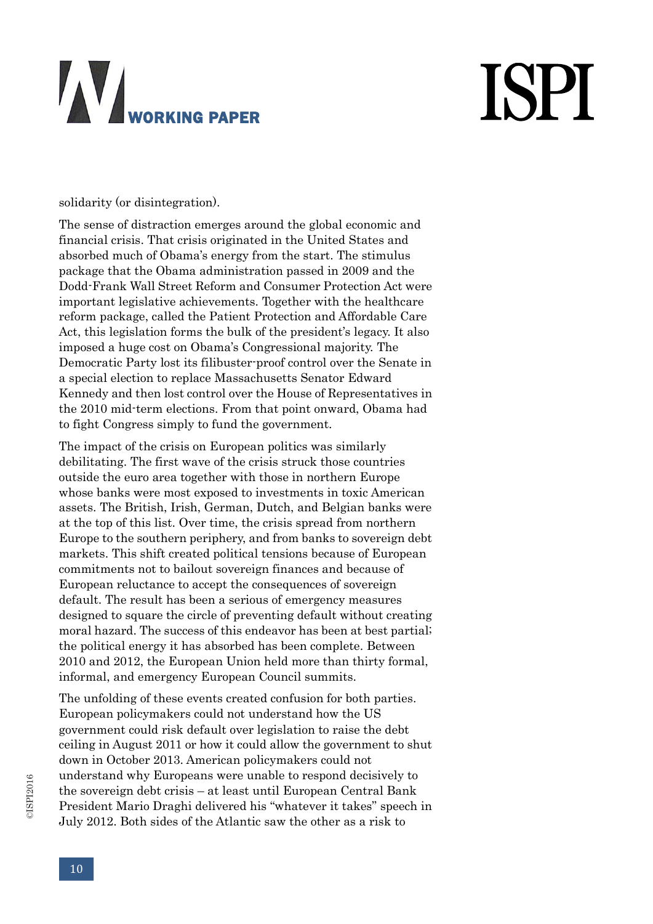# **ISPI**

solidarity (or disintegration).

The sense of distraction emerges around the global economic and financial crisis. That crisis originated in the United States and absorbed much of Obama's energy from the start. The stimulus package that the Obama administration passed in 2009 and the Dodd-Frank Wall Street Reform and Consumer Protection Act were important legislative achievements. Together with the healthcare reform package, called the Patient Protection and Affordable Care Act, this legislation forms the bulk of the president's legacy. It also imposed a huge cost on Obama's Congressional majority. The Democratic Party lost its filibuster-proof control over the Senate in a special election to replace Massachusetts Senator Edward Kennedy and then lost control over the House of Representatives in the 2010 mid-term elections. From that point onward, Obama had to fight Congress simply to fund the government.

The impact of the crisis on European politics was similarly debilitating. The first wave of the crisis struck those countries outside the euro area together with those in northern Europe whose banks were most exposed to investments in toxic American assets. The British, Irish, German, Dutch, and Belgian banks were at the top of this list. Over time, the crisis spread from northern Europe to the southern periphery, and from banks to sovereign debt markets. This shift created political tensions because of European commitments not to bailout sovereign finances and because of European reluctance to accept the consequences of sovereign default. The result has been a serious of emergency measures designed to square the circle of preventing default without creating moral hazard. The success of this endeavor has been at best partial; the political energy it has absorbed has been complete. Between 2010 and 2012, the European Union held more than thirty formal, informal, and emergency European Council summits.

The unfolding of these events created confusion for both parties. European policymakers could not understand how the US government could risk default over legislation to raise the debt ceiling in August 2011 or how it could allow the government to shut down in October 2013. American policymakers could not understand why Europeans were unable to respond decisively to the sovereign debt crisis – at least until European Central Bank President Mario Draghi delivered his "whatever it takes" speech in July 2012. Both sides of the Atlantic saw the other as a risk to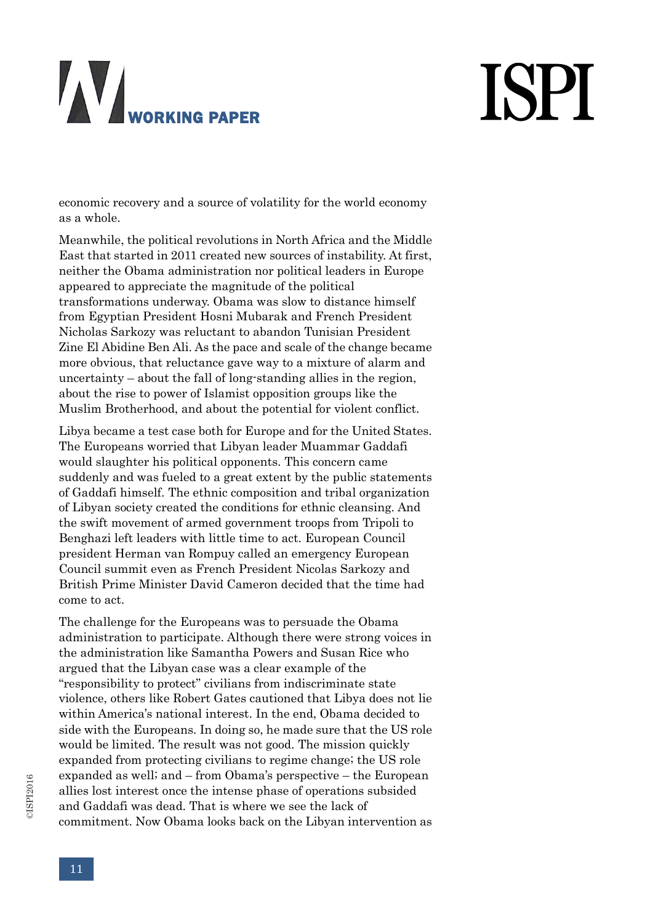# **ISPI**

economic recovery and a source of volatility for the world economy as a whole.

Meanwhile, the political revolutions in North Africa and the Middle East that started in 2011 created new sources of instability. At first, neither the Obama administration nor political leaders in Europe appeared to appreciate the magnitude of the political transformations underway. Obama was slow to distance himself from Egyptian President Hosni Mubarak and French President Nicholas Sarkozy was reluctant to abandon Tunisian President Zine El Abidine Ben Ali. As the pace and scale of the change became more obvious, that reluctance gave way to a mixture of alarm and uncertainty – about the fall of long-standing allies in the region, about the rise to power of Islamist opposition groups like the Muslim Brotherhood, and about the potential for violent conflict.

Libya became a test case both for Europe and for the United States. The Europeans worried that Libyan leader Muammar Gaddafi would slaughter his political opponents. This concern came suddenly and was fueled to a great extent by the public statements of Gaddafi himself. The ethnic composition and tribal organization of Libyan society created the conditions for ethnic cleansing. And the swift movement of armed government troops from Tripoli to Benghazi left leaders with little time to act. European Council president Herman van Rompuy called an emergency European Council summit even as French President Nicolas Sarkozy and British Prime Minister David Cameron decided that the time had come to act.

The challenge for the Europeans was to persuade the Obama administration to participate. Although there were strong voices in the administration like Samantha Powers and Susan Rice who argued that the Libyan case was a clear example of the "responsibility to protect" civilians from indiscriminate state violence, others like Robert Gates cautioned that Libya does not lie within America's national interest. In the end, Obama decided to side with the Europeans. In doing so, he made sure that the US role would be limited. The result was not good. The mission quickly expanded from protecting civilians to regime change; the US role expanded as well; and – from Obama's perspective – the European allies lost interest once the intense phase of operations subsided and Gaddafi was dead. That is where we see the lack of commitment. Now Obama looks back on the Libyan intervention as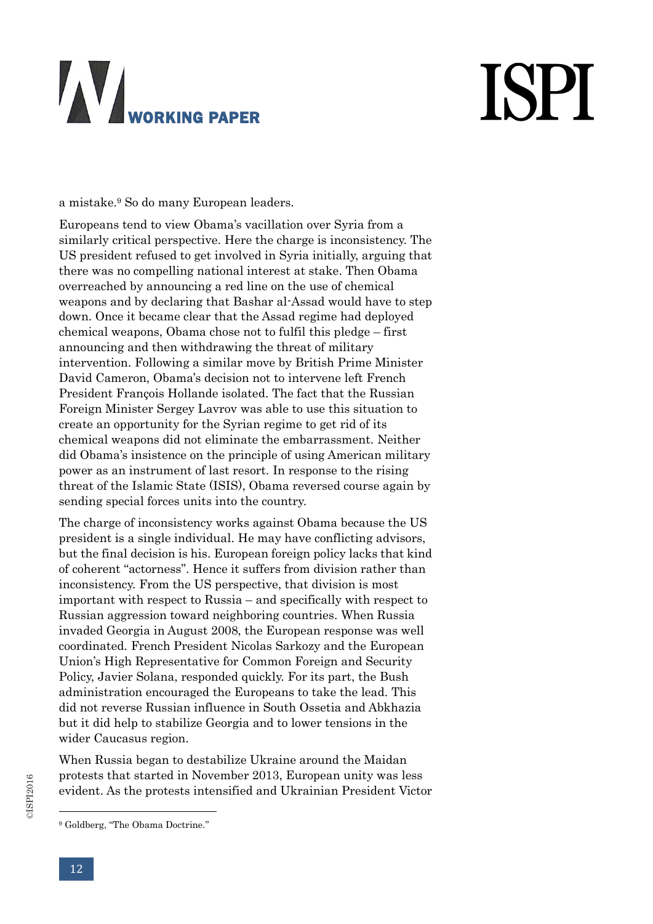# **ISPI**

a mistake.<sup>9</sup> So do many European leaders.

Europeans tend to view Obama's vacillation over Syria from a similarly critical perspective. Here the charge is inconsistency. The US president refused to get involved in Syria initially, arguing that there was no compelling national interest at stake. Then Obama overreached by announcing a red line on the use of chemical weapons and by declaring that Bashar al-Assad would have to step down. Once it became clear that the Assad regime had deployed chemical weapons, Obama chose not to fulfil this pledge – first announcing and then withdrawing the threat of military intervention. Following a similar move by British Prime Minister David Cameron, Obama's decision not to intervene left French President François Hollande isolated. The fact that the Russian Foreign Minister Sergey Lavrov was able to use this situation to create an opportunity for the Syrian regime to get rid of its chemical weapons did not eliminate the embarrassment. Neither did Obama's insistence on the principle of using American military power as an instrument of last resort. In response to the rising threat of the Islamic State (ISIS), Obama reversed course again by sending special forces units into the country.

The charge of inconsistency works against Obama because the US president is a single individual. He may have conflicting advisors, but the final decision is his. European foreign policy lacks that kind of coherent "actorness". Hence it suffers from division rather than inconsistency. From the US perspective, that division is most important with respect to Russia – and specifically with respect to Russian aggression toward neighboring countries. When Russia invaded Georgia in August 2008, the European response was well coordinated. French President Nicolas Sarkozy and the European Union's High Representative for Common Foreign and Security Policy, Javier Solana, responded quickly. For its part, the Bush administration encouraged the Europeans to take the lead. This did not reverse Russian influence in South Ossetia and Abkhazia but it did help to stabilize Georgia and to lower tensions in the wider Caucasus region.

When Russia began to destabilize Ukraine around the Maidan protests that started in November 2013, European unity was less evident. As the protests intensified and Ukrainian President Victor

<sup>9</sup> Goldberg, "The Obama Doctrine."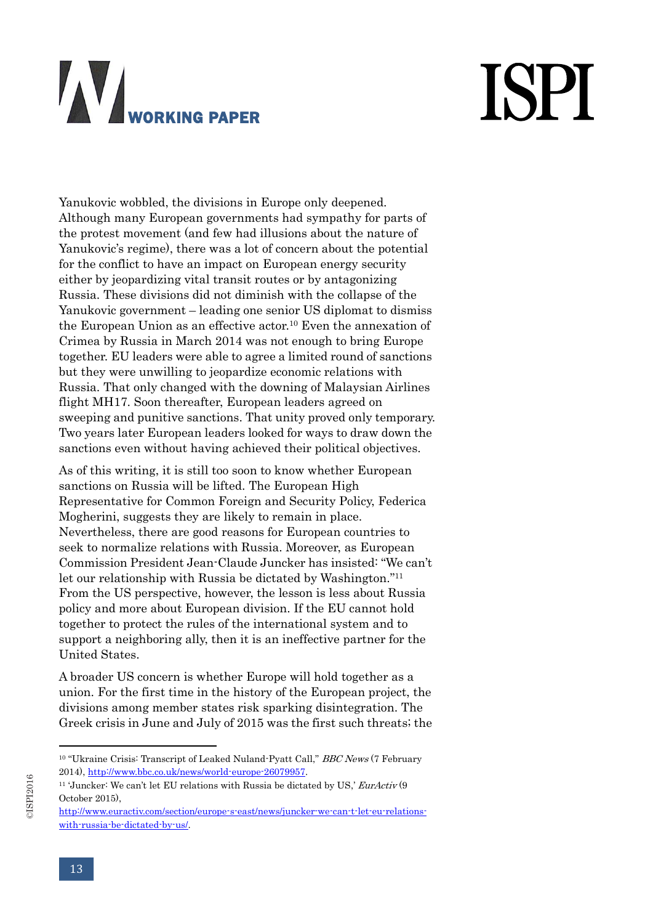# **ISPI**

Yanukovic wobbled, the divisions in Europe only deepened. Although many European governments had sympathy for parts of the protest movement (and few had illusions about the nature of Yanukovic's regime), there was a lot of concern about the potential for the conflict to have an impact on European energy security either by jeopardizing vital transit routes or by antagonizing Russia. These divisions did not diminish with the collapse of the Yanukovic government – leading one senior US diplomat to dismiss the European Union as an effective actor.<sup>10</sup> Even the annexation of Crimea by Russia in March 2014 was not enough to bring Europe together. EU leaders were able to agree a limited round of sanctions but they were unwilling to jeopardize economic relations with Russia. That only changed with the downing of Malaysian Airlines flight MH17. Soon thereafter, European leaders agreed on sweeping and punitive sanctions. That unity proved only temporary. Two years later European leaders looked for ways to draw down the sanctions even without having achieved their political objectives.

As of this writing, it is still too soon to know whether European sanctions on Russia will be lifted. The European High Representative for Common Foreign and Security Policy, Federica Mogherini, suggests they are likely to remain in place. Nevertheless, there are good reasons for European countries to seek to normalize relations with Russia. Moreover, as European Commission President Jean-Claude Juncker has insisted: "We can't let our relationship with Russia be dictated by Washington."<sup>11</sup> From the US perspective, however, the lesson is less about Russia policy and more about European division. If the EU cannot hold together to protect the rules of the international system and to support a neighboring ally, then it is an ineffective partner for the United States.

A broader US concern is whether Europe will hold together as a union. For the first time in the history of the European project, the divisions among member states risk sparking disintegration. The Greek crisis in June and July of 2015 was the first such threats; the

<sup>&</sup>lt;sup>10</sup> "Ukraine Crisis: Transcript of Leaked Nuland-Pyatt Call," *BBC News* (7 February 2014), [http://www.bbc.co.uk/news/world-europe-26079957.](http://www.bbc.co.uk/news/world-europe-26079957)

<sup>&</sup>lt;sup>11</sup> 'Juncker: We can't let EU relations with Russia be dictated by US,'  $EurActiv(9)$ October 2015),

[http://www.euractiv.com/section/europe-s-east/news/juncker-we-can-t-let-eu-relations](http://www.euractiv.com/section/europe-s-east/news/juncker-we-can-t-let-eu-relations-with-russia-be-dictated-by-us/)[with-russia-be-dictated-by-us/.](http://www.euractiv.com/section/europe-s-east/news/juncker-we-can-t-let-eu-relations-with-russia-be-dictated-by-us/)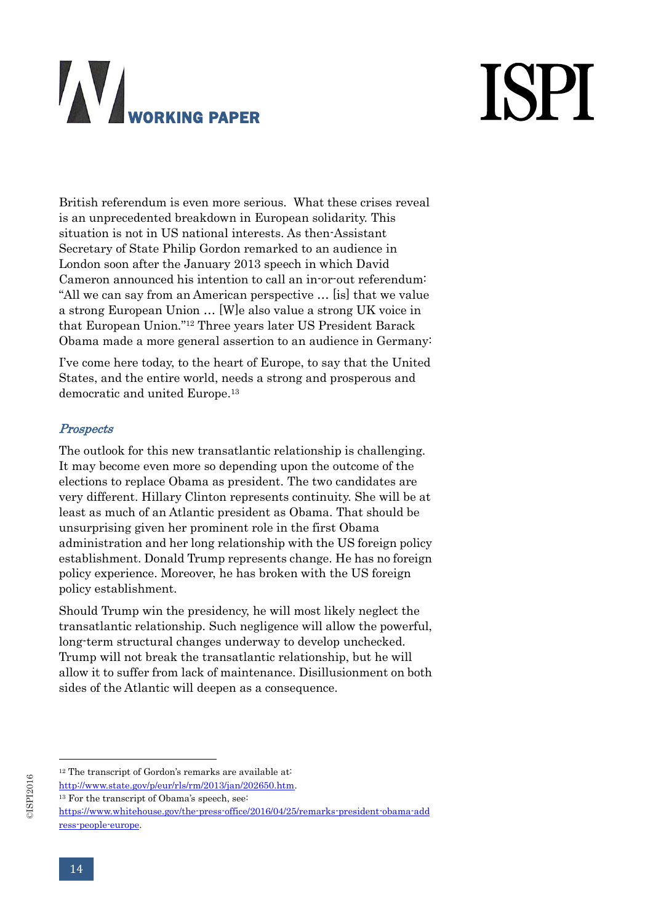# **ISPI**

British referendum is even more serious. What these crises reveal is an unprecedented breakdown in European solidarity. This situation is not in US national interests. As then-Assistant Secretary of State Philip Gordon remarked to an audience in London soon after the January 2013 speech in which David Cameron announced his intention to call an in-or-out referendum: "All we can say from an American perspective … [is] that we value a strong European Union … [W]e also value a strong UK voice in that European Union." <sup>12</sup> Three years later US President Barack Obama made a more general assertion to an audience in Germany:

I've come here today, to the heart of Europe, to say that the United States, and the entire world, needs a strong and prosperous and democratic and united Europe.<sup>13</sup>

#### **Prospects**

The outlook for this new transatlantic relationship is challenging. It may become even more so depending upon the outcome of the elections to replace Obama as president. The two candidates are very different. Hillary Clinton represents continuity. She will be at least as much of an Atlantic president as Obama. That should be unsurprising given her prominent role in the first Obama administration and her long relationship with the US foreign policy establishment. Donald Trump represents change. He has no foreign policy experience. Moreover, he has broken with the US foreign policy establishment.

Should Trump win the presidency, he will most likely neglect the transatlantic relationship. Such negligence will allow the powerful, long-term structural changes underway to develop unchecked. Trump will not break the transatlantic relationship, but he will allow it to suffer from lack of maintenance. Disillusionment on both sides of the Atlantic will deepen as a consequence.

<sup>&</sup>lt;sup>12</sup> The transcript of Gordon's remarks are available at:

[http://www.state.gov/p/eur/rls/rm/2013/jan/202650.htm.](http://www.state.gov/p/eur/rls/rm/2013/jan/202650.htm)

<sup>&</sup>lt;sup>13</sup> For the transcript of Obama's speech, see:

[https://www.whitehouse.gov/the-press-office/2016/04/25/remarks-president-obama-add](https://www.whitehouse.gov/the-press-office/2016/04/25/remarks-president-obama-address-people-europe) [ress-people-europe.](https://www.whitehouse.gov/the-press-office/2016/04/25/remarks-president-obama-address-people-europe)